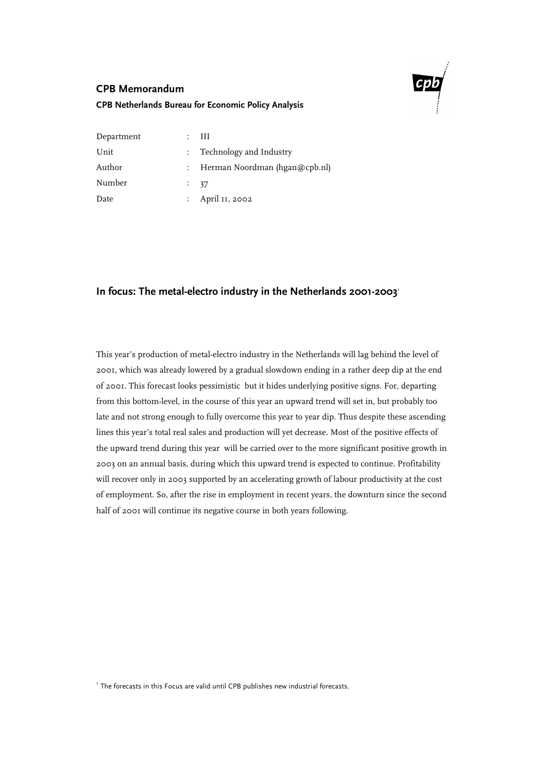

# **CPB Memorandum**

## **CPB Netherlands Bureau for Economic Policy Analysis**

| Department | $\colon$ III                    |
|------------|---------------------------------|
| Unit       | : Technology and Industry       |
| Author     | : Herman Noordman (hgan@cpb.nl) |
| Number     | $\frac{1}{2}$ 37                |
| Date       | : April 11, 2002                |
|            |                                 |

# In focus: The metal-electro industry in the Netherlands 2001-2003<sup>1</sup>

This year's production of metal-electro industry in the Netherlands will lag behind the level of 2001, which was already lowered by a gradual slowdown ending in a rather deep dip at the end of 2001. This forecast looks pessimistic but it hides underlying positive signs. For, departing from this bottom-level, in the course of this year an upward trend will set in, but probably too late and not strong enough to fully overcome this year to year dip. Thus despite these ascending lines this year's total real sales and production will yet decrease. Most of the positive effects of the upward trend during this year will be carried over to the more significant positive growth in 2003 on an annual basis, during which this upward trend is expected to continue. Profitability will recover only in 2003 supported by an accelerating growth of labour productivity at the cost of employment. So, after the rise in employment in recent years, the downturn since the second half of 2001 will continue its negative course in both years following.

<sup>1</sup> The forecasts in this Focus are valid until CPB publishes new industrial forecasts.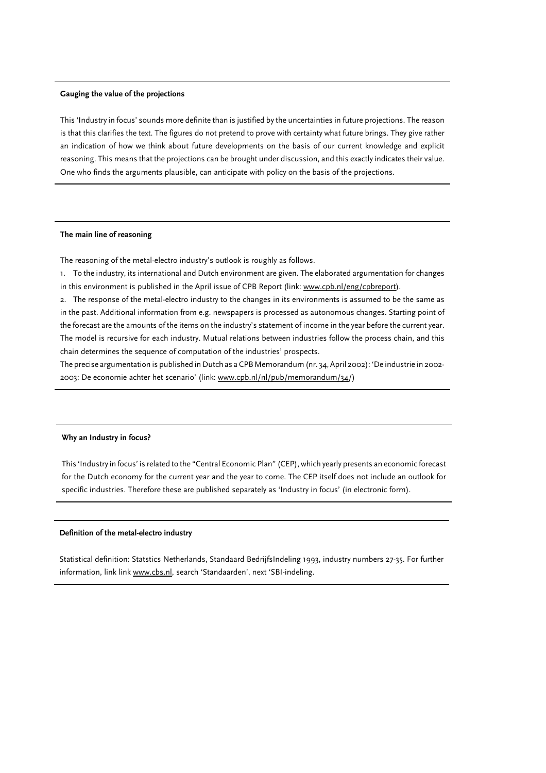#### **Gauging the value of the projections**

This 'Industry in focus' sounds more definite than is justified by the uncertainties in future projections. The reason is that this clarifies the text. The figures do not pretend to prove with certainty what future brings. They give rather an indication of how we think about future developments on the basis of our current knowledge and explicit reasoning. This means that the projections can be brought under discussion, and this exactly indicates their value. One who finds the arguments plausible, can anticipate with policy on the basis of the projections.

#### **The main line of reasoning**

The reasoning of the metal-electro industry's outlook is roughly as follows.

1. To the industry, its international and Dutch environment are given. The elaborated argumentation for changes in this environment is published in the April issue of CPB Report (link: www.cpb.nl/eng/cpbreport).

2. The response of the metal-electro industry to the changes in its environments is assumed to be the same as in the past. Additional information from e.g. newspapers is processed as autonomous changes. Starting point of the forecast are the amounts of the items on the industry's statement of income in the year before the current year. The model is recursive for each industry. Mutual relations between industries follow the process chain, and this chain determines the sequence of computation of the industries' prospects.

The precise argumentation is published in Dutch as a CPB Memorandum (nr. 34, April 2002): 'De industrie in 2002- 2003: De economie achter het scenario' (link: www.cpb.nl/nl/pub/memorandum/34/)

#### **Why an Industry in focus?**

This 'Industry in focus' is related to the "Central Economic Plan" (CEP), which yearly presents an economic forecast for the Dutch economy for the current year and the year to come. The CEP itself does not include an outlook for specific industries. Therefore these are published separately as 'Industry in focus' (in electronic form).

#### **Definition of the metal-electro industry**

Statistical definition: Statstics Netherlands, Standaard BedrijfsIndeling 1993, industry numbers 27-35. For further information, link link www.cbs.nl, search 'Standaarden', next 'SBI-indeling.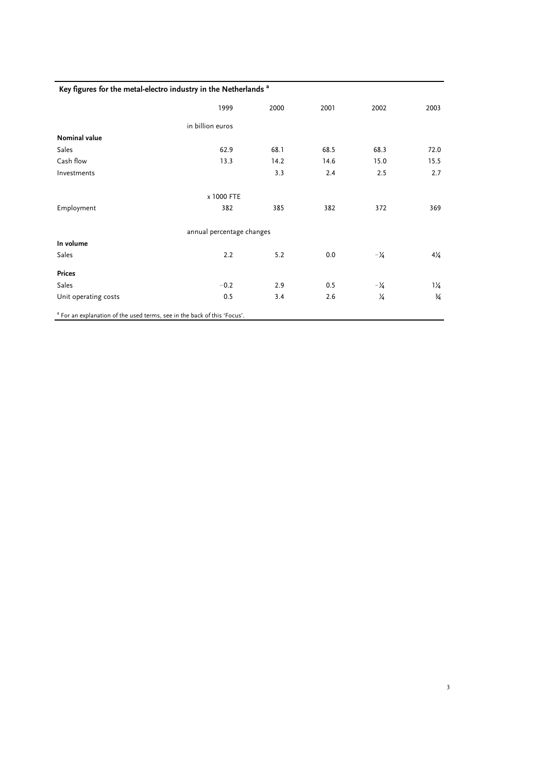## **Key figures for the metal-electro industry in the Netherlands a**

|                      | 1999                      | 2000 | 2001 | 2002           | 2003           |
|----------------------|---------------------------|------|------|----------------|----------------|
|                      | in billion euros          |      |      |                |                |
| <b>Nominal value</b> |                           |      |      |                |                |
| Sales                | 62.9                      | 68.1 | 68.5 | 68.3           | 72.0           |
| Cash flow            | 13.3                      | 14.2 | 14.6 | 15.0           | 15.5           |
| Investments          |                           | 3.3  | 2.4  | 2.5            | 2.7            |
|                      | x 1000 FTE                |      |      |                |                |
| Employment           | 382                       | 385  | 382  | 372            | 369            |
|                      | annual percentage changes |      |      |                |                |
| In volume            |                           |      |      |                |                |
| Sales                | 2.2                       | 5.2  | 0.0  | $-\frac{1}{4}$ | $4\frac{1}{4}$ |
| <b>Prices</b>        |                           |      |      |                |                |
| Sales                | $-0.2$                    | 2.9  | 0.5  | $-\frac{1}{4}$ | $1\frac{1}{4}$ |
| Unit operating costs | 0.5                       | 3.4  | 2.6  | 1⁄4            | $\frac{3}{4}$  |

3

<sup>a</sup> For an explanation of the used terms, see in the back of this 'Focus'.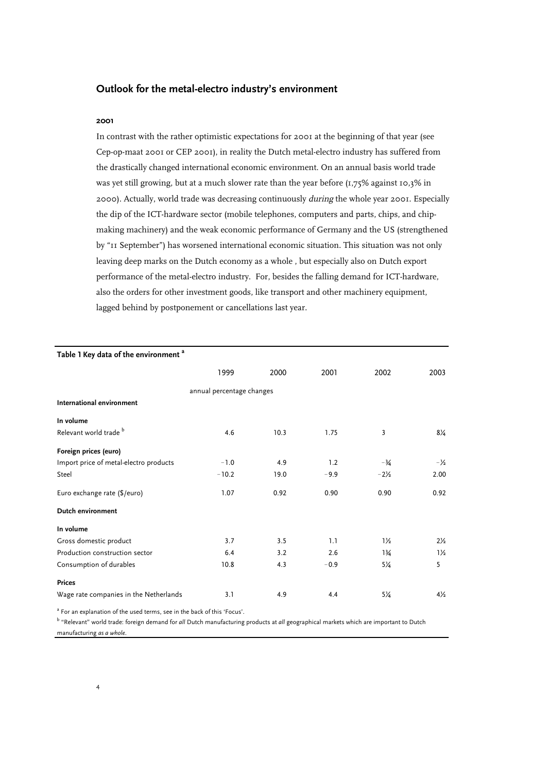# **Outlook for the metal-electro industry's environment**

#### **2001**

In contrast with the rather optimistic expectations for 2001 at the beginning of that year (see Cep-op-maat 2001 or CEP 2001), in reality the Dutch metal-electro industry has suffered from the drastically changed international economic environment. On an annual basis world trade was yet still growing, but at a much slower rate than the year before (1,75% against 10,3% in 2000). Actually, world trade was decreasing continuously *during* the whole year 2001. Especially the dip of the ICT-hardware sector (mobile telephones, computers and parts, chips, and chipmaking machinery) and the weak economic performance of Germany and the US (strengthened by "11 September") has worsened international economic situation. This situation was not only leaving deep marks on the Dutch economy as a whole , but especially also on Dutch export performance of the metal-electro industry. For, besides the falling demand for ICT-hardware, also the orders for other investment goods, like transport and other machinery equipment, lagged behind by postponement or cancellations last year.

| Table 1 Key data of the environment <sup>a</sup> |                           |      |        |                 |                |
|--------------------------------------------------|---------------------------|------|--------|-----------------|----------------|
|                                                  | 1999                      | 2000 | 2001   | 2002            | 2003           |
|                                                  | annual percentage changes |      |        |                 |                |
| International environment                        |                           |      |        |                 |                |
| In volume                                        |                           |      |        |                 |                |
| Relevant world trade <sup>b</sup>                | 4.6                       | 10.3 | 1.75   | 3               | 8¼             |
| Foreign prices (euro)                            |                           |      |        |                 |                |
| Import price of metal-electro products           | $-1.0$                    | 4.9  | 1.2    | $-3/4$          | $-\frac{1}{2}$ |
| Steel                                            | $-10.2$                   | 19.0 | $-9.9$ | $-2\frac{1}{2}$ | 2.00           |
| Euro exchange rate (\$/euro)                     | 1.07                      | 0.92 | 0.90   | 0.90            | 0.92           |
| Dutch environment                                |                           |      |        |                 |                |
| In volume                                        |                           |      |        |                 |                |
| Gross domestic product                           | 3.7                       | 3.5  | 1.1    | $1\frac{1}{2}$  | $2\frac{1}{2}$ |
| Production construction sector                   | 6.4                       | 3.2  | 2.6    | $1\frac{3}{4}$  | $1\frac{1}{2}$ |
| Consumption of durables                          | 10.8                      | 4.3  | $-0.9$ | $5\frac{1}{4}$  | 5              |
| <b>Prices</b>                                    |                           |      |        |                 |                |
| Wage rate companies in the Netherlands           | 3.1                       | 4.9  | 4.4    | $5\frac{1}{4}$  | $4\frac{1}{2}$ |

<sup>a</sup> For an explanation of the used terms, see in the back of this 'Focus'.

b "Relevant" world trade: foreign demand for *all* Dutch manufacturing products at *all* geographical markets which are important to Dutch manufacturing *as a whole*.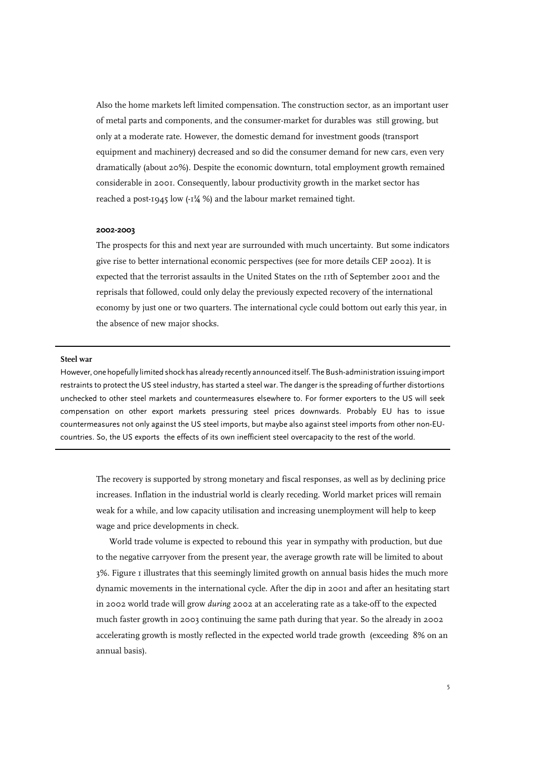Also the home markets left limited compensation. The construction sector, as an important user of metal parts and components, and the consumer-market for durables was still growing, but only at a moderate rate. However, the domestic demand for investment goods (transport equipment and machinery) decreased and so did the consumer demand for new cars, even very dramatically (about 20%). Despite the economic downturn, total employment growth remained considerable in 2001. Consequently, labour productivity growth in the market sector has reached a post-1945 low (-1¼ %) and the labour market remained tight.

#### **2002-2003**

The prospects for this and next year are surrounded with much uncertainty. But some indicators give rise to better international economic perspectives (see for more details CEP 2002). It is expected that the terrorist assaults in the United States on the 11th of September 2001 and the reprisals that followed, could only delay the previously expected recovery of the international economy by just one or two quarters. The international cycle could bottom out early this year, in the absence of new major shocks.

#### **Steel war**

However, 0ne hopefully limited shock has already recently announced itself. The Bush-administration issuing import restraints to protect the US steel industry, has started a steel war. The danger is the spreading of further distortions unchecked to other steel markets and countermeasures elsewhere to. For former exporters to the US will seek compensation on other export markets pressuring steel prices downwards. Probably EU has to issue countermeasures not only against the US steel imports, but maybe also against steel imports from other non-EUcountries. So, the US exports the effects of its own inefficient steel overcapacity to the rest of the world.

The recovery is supported by strong monetary and fiscal responses, as well as by declining price increases. Inflation in the industrial world is clearly receding. World market prices will remain weak for a while, and low capacity utilisation and increasing unemployment will help to keep wage and price developments in check.

World trade volume is expected to rebound this year in sympathy with production, but due to the negative carryover from the present year, the average growth rate will be limited to about 3%. Figure 1 illustrates that this seemingly limited growth on annual basis hides the much more dynamic movements in the international cycle. After the dip in 2001 and after an hesitating start in 2002 world trade will grow *during* 2002 at an accelerating rate as a take-off to the expected much faster growth in 2003 continuing the same path during that year. So the already in 2002 accelerating growth is mostly reflected in the expected world trade growth (exceeding 8% on an annual basis).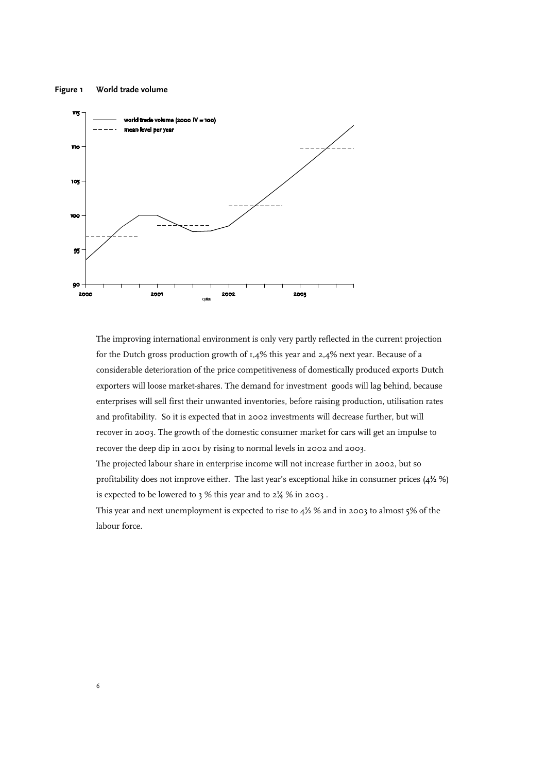#### **Figure 1 World trade volume**



The improving international environment is only very partly reflected in the current projection for the Dutch gross production growth of 1,4% this year and 2,4% next year. Because of a considerable deterioration of the price competitiveness of domestically produced exports Dutch exporters will loose market-shares. The demand for investment goods will lag behind, because enterprises will sell first their unwanted inventories, before raising production, utilisation rates and profitability. So it is expected that in 2002 investments will decrease further, but will recover in 2003. The growth of the domestic consumer market for cars will get an impulse to recover the deep dip in 2001 by rising to normal levels in 2002 and 2003.

The projected labour share in enterprise income will not increase further in 2002, but so profitability does not improve either. The last year's exceptional hike in consumer prices (4½ %) is expected to be lowered to 3 % this year and to 2¼ % in 2003 .

This year and next unemployment is expected to rise to  $4\frac{1}{2}$ % and in 2003 to almost 5% of the labour force.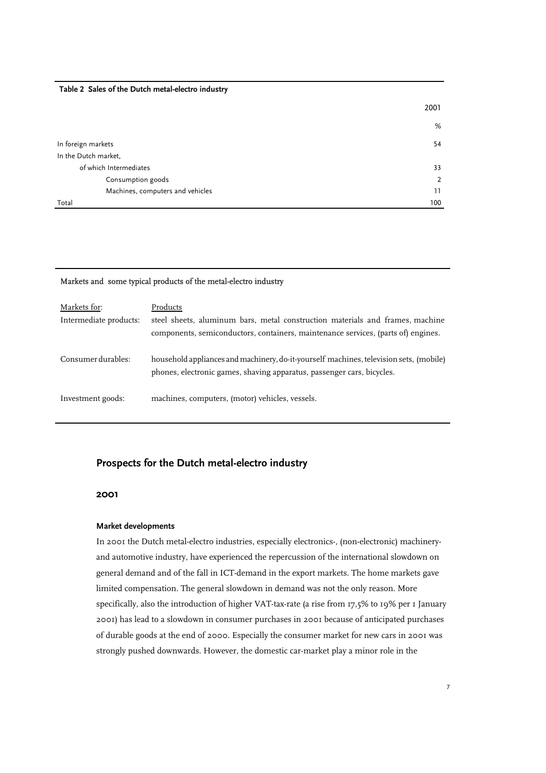#### **Table 2 Sales of the Dutch metal-electro industry**

|                                  | 2001 |
|----------------------------------|------|
|                                  | %    |
| In foreign markets               | 54   |
| In the Dutch market,             |      |
| of which Intermediates           | 33   |
| Consumption goods                | 2    |
| Machines, computers and vehicles | 11   |
| Total                            | 100  |

## Markets and some typical products of the metal-electro industry

| Markets for:           | Products                                                                                                                                                           |
|------------------------|--------------------------------------------------------------------------------------------------------------------------------------------------------------------|
| Intermediate products: | steel sheets, aluminum bars, metal construction materials and frames, machine<br>components, semiconductors, containers, maintenance services, (parts of) engines. |
| Consumer durables:     | household appliances and machinery, do-it-yourself machines, television sets, (mobile)<br>phones, electronic games, shaving apparatus, passenger cars, bicycles.   |
| Investment goods:      | machines, computers, (motor) vehicles, vessels.                                                                                                                    |

## **Prospects for the Dutch metal-electro industry**

#### **2001**

#### **Market developments**

In 2001 the Dutch metal-electro industries, especially electronics-, (non-electronic) machineryand automotive industry, have experienced the repercussion of the international slowdown on general demand and of the fall in ICT-demand in the export markets. The home markets gave limited compensation. The general slowdown in demand was not the only reason. More specifically, also the introduction of higher VAT-tax-rate (a rise from 17,5% to 19% per 1 January 2001) has lead to a slowdown in consumer purchases in 2001 because of anticipated purchases of durable goods at the end of 2000. Especially the consumer market for new cars in 2001 was strongly pushed downwards. However, the domestic car-market play a minor role in the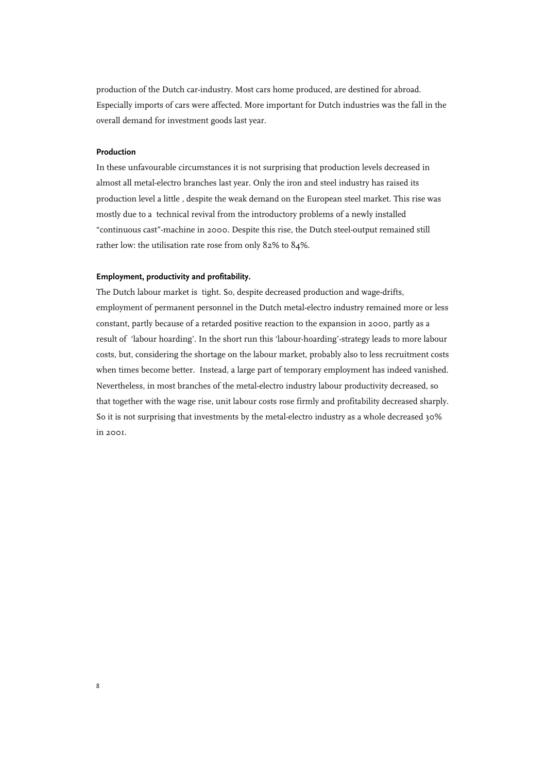production of the Dutch car-industry. Most cars home produced, are destined for abroad. Especially imports of cars were affected. More important for Dutch industries was the fall in the overall demand for investment goods last year.

### **Production**

8

In these unfavourable circumstances it is not surprising that production levels decreased in almost all metal-electro branches last year. Only the iron and steel industry has raised its production level a little , despite the weak demand on the European steel market. This rise was mostly due to a technical revival from the introductory problems of a newly installed "continuous cast"-machine in 2000. Despite this rise, the Dutch steel-output remained still rather low: the utilisation rate rose from only 82% to 84%.

## **Employment, productivity and profitability.**

The Dutch labour market is tight. So, despite decreased production and wage-drifts, employment of permanent personnel in the Dutch metal-electro industry remained more or less constant, partly because of a retarded positive reaction to the expansion in 2000, partly as a result of 'labour hoarding'. In the short run this 'labour-hoarding'-strategy leads to more labour costs, but, considering the shortage on the labour market, probably also to less recruitment costs when times become better. Instead, a large part of temporary employment has indeed vanished. Nevertheless, in most branches of the metal-electro industry labour productivity decreased, so that together with the wage rise, unit labour costs rose firmly and profitability decreased sharply. So it is not surprising that investments by the metal-electro industry as a whole decreased 30% in 2001.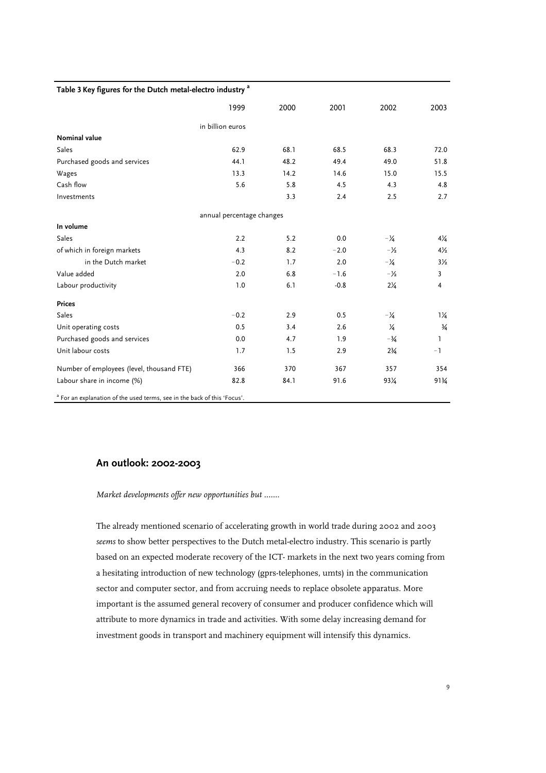## **Table 3 Key figures for the Dutch metal-electro industry a**

|                                                                                     | 1999                      | 2000 | 2001   | 2002            | 2003           |
|-------------------------------------------------------------------------------------|---------------------------|------|--------|-----------------|----------------|
|                                                                                     | in billion euros          |      |        |                 |                |
| <b>Nominal value</b>                                                                |                           |      |        |                 |                |
| Sales                                                                               | 62.9                      | 68.1 | 68.5   | 68.3            | 72.0           |
| Purchased goods and services                                                        | 44.1                      | 48.2 | 49.4   | 49.0            | 51.8           |
| Wages                                                                               | 13.3                      | 14.2 | 14.6   | 15.0            | 15.5           |
| Cash flow                                                                           | 5.6                       | 5.8  | 4.5    | 4.3             | 4.8            |
| Investments                                                                         |                           | 3.3  | 2.4    | 2.5             | 2.7            |
|                                                                                     | annual percentage changes |      |        |                 |                |
| In volume                                                                           |                           |      |        |                 |                |
| Sales                                                                               | 2.2                       | 5.2  | 0.0    | $-1/4$          | $4\frac{1}{4}$ |
| of which in foreign markets                                                         | 4.3                       | 8.2  | $-2.0$ | $-1/2$          | $4\frac{1}{2}$ |
| in the Dutch market                                                                 | $-0.2$                    | 1.7  | 2.0    | $-\frac{1}{4}$  | $3\frac{1}{2}$ |
| Value added                                                                         | 2.0                       | 6.8  | $-1.6$ | $-1/2$          | 3              |
| Labour productivity                                                                 | 1.0                       | 6.1  | $-0.8$ | $2\frac{1}{4}$  | 4              |
| <b>Prices</b>                                                                       |                           |      |        |                 |                |
| Sales                                                                               | $-0.2$                    | 2.9  | 0.5    | $-\frac{1}{4}$  | $1\frac{1}{4}$ |
| Unit operating costs                                                                | 0.5                       | 3.4  | 2.6    | $\frac{1}{4}$   | $\frac{3}{4}$  |
| Purchased goods and services                                                        | 0.0                       | 4.7  | 1.9    | $-3/4$          | L              |
| Unit labour costs                                                                   | 1.7                       | 1.5  | 2.9    | $2\frac{3}{4}$  | $-1$           |
| Number of employees (level, thousand FTE)                                           | 366                       | 370  | 367    | 357             | 354            |
| Labour share in income (%)                                                          | 82.8                      | 84.1 | 91.6   | $93\frac{1}{4}$ | 91¾            |
| <sup>a</sup> For an explanation of the used terms, see in the back of this 'Focus'. |                           |      |        |                 |                |

# **An outlook: 2002-2003**

*Market developments offer new opportunities but .......*

The already mentioned scenario of accelerating growth in world trade during 2002 and 2003 *seems* to show better perspectives to the Dutch metal-electro industry. This scenario is partly based on an expected moderate recovery of the ICT- markets in the next two years coming from a hesitating introduction of new technology (gprs-telephones, umts) in the communication sector and computer sector, and from accruing needs to replace obsolete apparatus. More important is the assumed general recovery of consumer and producer confidence which will attribute to more dynamics in trade and activities. With some delay increasing demand for investment goods in transport and machinery equipment will intensify this dynamics.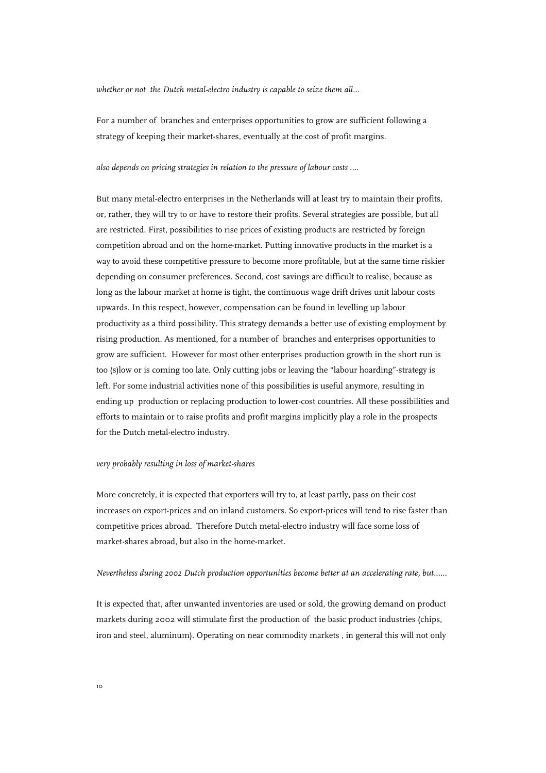*whether or not the Dutch metal-electro industry is capable to seize them all...*

For a number of branches and enterprises opportunities to grow are sufficient following a strategy of keeping their market-shares, eventually at the cost of profit margins.

#### *also depends on pricing strategies in relation to the pressure of labour costs ....*

But many metal-electro enterprises in the Netherlands will at least try to maintain their profits, or, rather, they will try to or have to restore their profits. Several strategies are possible, but all are restricted. First, possibilities to rise prices of existing products are restricted by foreign competition abroad and on the home-market. Putting innovative products in the market is a way to avoid these competitive pressure to become more profitable, but at the same time riskier depending on consumer preferences. Second, cost savings are difficult to realise, because as long as the labour market at home is tight, the continuous wage drift drives unit labour costs upwards. In this respect, however, compensation can be found in levelling up labour productivity as a third possibility. This strategy demands a better use of existing employment by rising production. As mentioned, for a number of branches and enterprises opportunities to grow are sufficient. However for most other enterprises production growth in the short run is too (s)low or is coming too late. Only cutting jobs or leaving the "labour hoarding"-strategy is left. For some industrial activities none of this possibilities is useful anymore, resulting in ending up production or replacing production to lower-cost countries. All these possibilities and efforts to maintain or to raise profits and profit margins implicitly play a role in the prospects for the Dutch metal-electro industry.

#### *very probably resulting in loss of market-shares*

More concretely, it is expected that exporters will try to, at least partly, pass on their cost increases on export-prices and on inland customers. So export-prices will tend to rise faster than competitive prices abroad. Therefore Dutch metal-electro industry will face some loss of market-shares abroad, but also in the home-market.

## *Nevertheless during 2002 Dutch production opportunities become better at an accelerating rate, but......*

It is expected that, after unwanted inventories are used or sold, the growing demand on product markets during 2002 will stimulate first the production of the basic product industries (chips, iron and steel, aluminum). Operating on near commodity markets , in general this will not only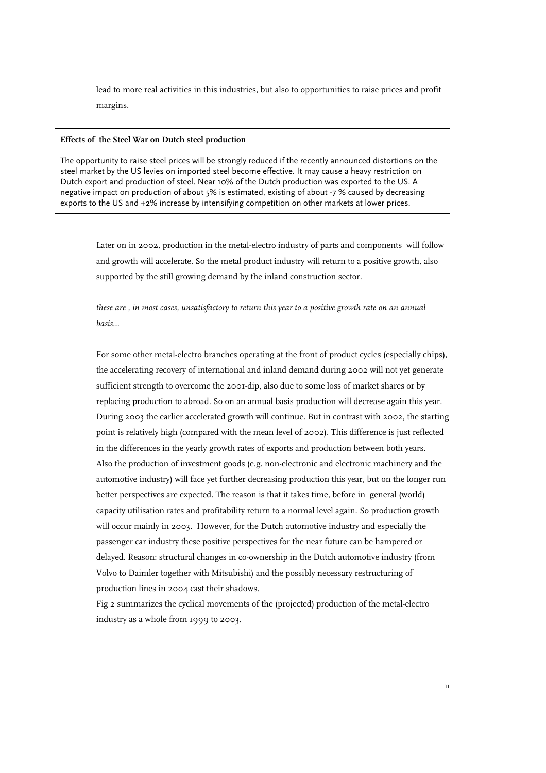lead to more real activities in this industries, but also to opportunities to raise prices and profit margins.

## **Effects of the Steel War on Dutch steel production**

The opportunity to raise steel prices will be strongly reduced if the recently announced distortions on the steel market by the US levies on imported steel become effective. It may cause a heavy restriction on Dutch export and production of steel. Near 10% of the Dutch production was exported to the US. A negative impact on production of about 5% is estimated, existing of about -7 % caused by decreasing exports to the US and +2% increase by intensifying competition on other markets at lower prices.

Later on in 2002, production in the metal-electro industry of parts and components will follow and growth will accelerate. So the metal product industry will return to a positive growth, also supported by the still growing demand by the inland construction sector.

*these are , in most cases, unsatisfactory to return this year to a positive growth rate on an annual basis...*

For some other metal-electro branches operating at the front of product cycles (especially chips), the accelerating recovery of international and inland demand during 2002 will not yet generate sufficient strength to overcome the 2001-dip, also due to some loss of market shares or by replacing production to abroad. So on an annual basis production will decrease again this year. During 2003 the earlier accelerated growth will continue. But in contrast with 2002, the starting point is relatively high (compared with the mean level of 2002). This difference is just reflected in the differences in the yearly growth rates of exports and production between both years. Also the production of investment goods (e.g. non-electronic and electronic machinery and the automotive industry) will face yet further decreasing production this year, but on the longer run better perspectives are expected. The reason is that it takes time, before in general (world) capacity utilisation rates and profitability return to a normal level again. So production growth will occur mainly in 2003. However, for the Dutch automotive industry and especially the passenger car industry these positive perspectives for the near future can be hampered or delayed. Reason: structural changes in co-ownership in the Dutch automotive industry (from Volvo to Daimler together with Mitsubishi) and the possibly necessary restructuring of production lines in 2004 cast their shadows.

Fig 2 summarizes the cyclical movements of the (projected) production of the metal-electro industry as a whole from 1999 to 2003.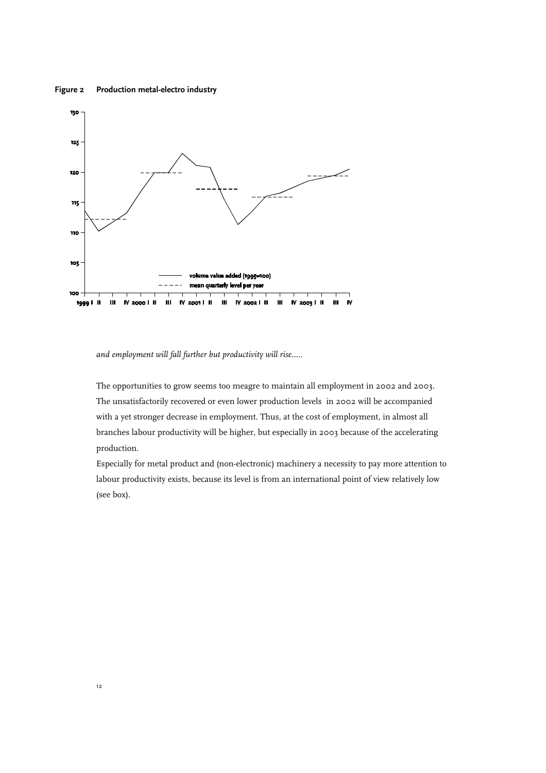#### **Figure 2 Production metal-electro industry**



*and employment will fall further but productivity will rise.....*

The opportunities to grow seems too meagre to maintain all employment in 2002 and 2003. The unsatisfactorily recovered or even lower production levels in 2002 will be accompanied with a yet stronger decrease in employment. Thus, at the cost of employment, in almost all branches labour productivity will be higher, but especially in 2003 because of the accelerating production.

Especially for metal product and (non-electronic) machinery a necessity to pay more attention to labour productivity exists, because its level is from an international point of view relatively low (see box).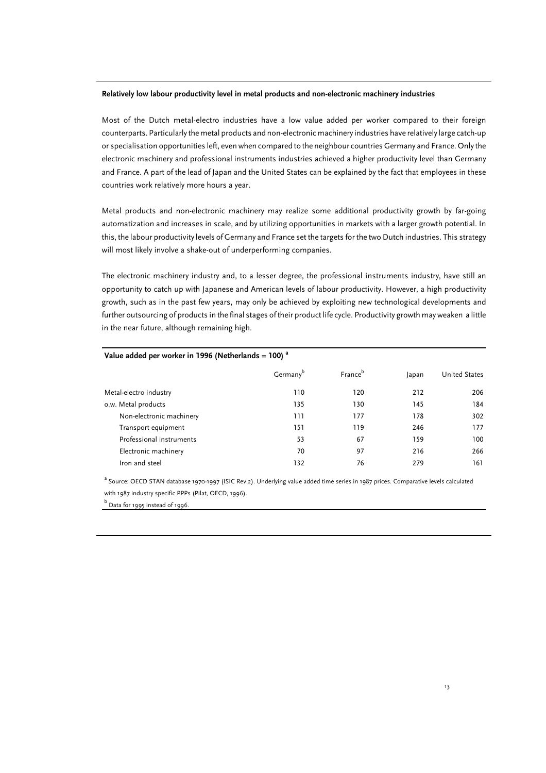#### **Relatively low labour productivity level in metal products and non-electronic machinery industries**

Most of the Dutch metal-electro industries have a low value added per worker compared to their foreign counterparts. Particularly the metal products and non-electronic machinery industries have relatively large catch-up or specialisation opportunities left, even when compared to the neighbour countries Germany and France. Only the electronic machinery and professional instruments industries achieved a higher productivity level than Germany and France. A part of the lead of Japan and the United States can be explained by the fact that employees in these countries work relatively more hours a year.

Metal products and non-electronic machinery may realize some additional productivity growth by far-going automatization and increases in scale, and by utilizing opportunities in markets with a larger growth potential. In this, the labour productivity levels of Germany and France set the targets for the two Dutch industries. This strategy will most likely involve a shake-out of underperforming companies.

The electronic machinery industry and, to a lesser degree, the professional instruments industry, have still an opportunity to catch up with Japanese and American levels of labour productivity. However, a high productivity growth, such as in the past few years, may only be achieved by exploiting new technological developments and further outsourcing of products in the final stages of their product life cycle. Productivity growth may weaken a little in the near future, although remaining high.

| Value added per worker in 1996 (Netherlands = 100) $^a$ |                      |                     |       |                      |  |  |  |  |
|---------------------------------------------------------|----------------------|---------------------|-------|----------------------|--|--|--|--|
|                                                         | Germany <sup>b</sup> | France <sup>b</sup> | Japan | <b>United States</b> |  |  |  |  |
| Metal-electro industry                                  | 110                  | 120                 | 212   | 206                  |  |  |  |  |
| o.w. Metal products                                     | 135                  | 130                 | 145   | 184                  |  |  |  |  |
| Non-electronic machinery                                | 111                  | 177                 | 178   | 302                  |  |  |  |  |
| Transport equipment                                     | 151                  | 119                 | 246   | 177                  |  |  |  |  |
| Professional instruments                                | 53                   | 67                  | 159   | 100                  |  |  |  |  |
| Electronic machinery                                    | 70                   | 97                  | 216   | 266                  |  |  |  |  |
| Iron and steel                                          | 132                  | 76                  | 279   | 161                  |  |  |  |  |

a<br>Source: OECD STAN database 1970-1997 (ISIC Rev.2). Underlying value added time series in 1987 prices. Comparative levels calculated with 1987 industry specific PPPs (Pilat, OECD, 1996).

<sup>b</sup> Data for 1995 instead of 1996.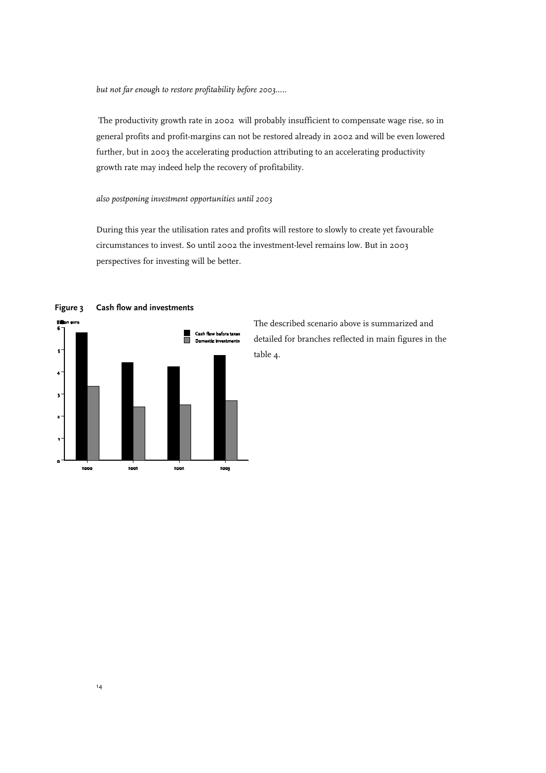*but not far enough to restore profitability before 2003.....*

The productivity growth rate in 2002 will probably insufficient to compensate wage rise, so in general profits and profit-margins can not be restored already in 2002 and will be even lowered further, but in 2003 the accelerating production attributing to an accelerating productivity growth rate may indeed help the recovery of profitability.

## *also postponing investment opportunities until 2003*

During this year the utilisation rates and profits will restore to slowly to create yet favourable circumstances to invest. So until 2002 the investment-level remains low. But in 2003 perspectives for investing will be better.



**Figure 3 Cash flow and investments**

The described scenario above is summarized and detailed for branches reflected in main figures in the table 4.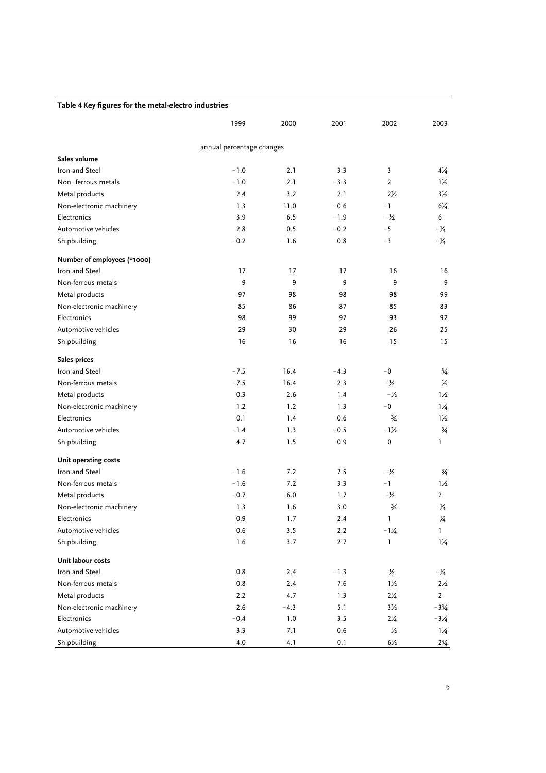| Table 4 Key figures for the metal-electro industries |  |  |  |  |  |  |  |  |  |  |
|------------------------------------------------------|--|--|--|--|--|--|--|--|--|--|
|------------------------------------------------------|--|--|--|--|--|--|--|--|--|--|

|                             | 1999                      | 2000    | 2001    | 2002            | 2003            |
|-----------------------------|---------------------------|---------|---------|-----------------|-----------------|
|                             | annual percentage changes |         |         |                 |                 |
| Sales volume                |                           |         |         |                 |                 |
| Iron and Steel              | $-1.0$                    | 2.1     | 3.3     | 3               | $4\frac{1}{4}$  |
| Non-ferrous metals          | $-1.0$                    | 2.1     | $-3.3$  | $\overline{2}$  | $1\frac{1}{2}$  |
| Metal products              | 2.4                       | 3.2     | 2.1     | $2\frac{1}{2}$  | $3\frac{1}{2}$  |
| Non-electronic machinery    | 1.3                       | 11.0    | $-0.6$  | $-1$            | $6\frac{1}{4}$  |
| Electronics                 | 3.9                       | 6.5     | $-1.9$  | $-\frac{1}{4}$  | 6               |
| Automotive vehicles         | 2.8                       | 0.5     | $-0.2$  | $-5$            | $-2/4$          |
| Shipbuilding                | $-0.2$                    | $-1.6$  | 0.8     | $-3$            | $-\frac{1}{4}$  |
| Number of employees (*1000) |                           |         |         |                 |                 |
| Iron and Steel              | 17                        | 17      | 17      | 16              | 16              |
| Non-ferrous metals          | 9                         | 9       | 9       | 9               | 9               |
| Metal products              | 97                        | 98      | 98      | 98              | 99              |
| Non-electronic machinery    | 85                        | 86      | 87      | 85              | 83              |
| Electronics                 | 98                        | 99      | 97      | 93              | 92              |
| Automotive vehicles         | 29                        | 30      | 29      | 26              | 25              |
| Shipbuilding                | 16                        | 16      | 16      | 15              | 15              |
| Sales prices                |                           |         |         |                 |                 |
| Iron and Steel              | $-7.5$                    | 16.4    | $-4.3$  | $-0$            | $\frac{3}{4}$   |
| Non-ferrous metals          | $-7.5$                    | 16.4    | 2.3     | $-\frac{1}{4}$  | $\frac{1}{2}$   |
| Metal products              | 0.3                       | 2.6     | 1.4     | $-\frac{1}{2}$  | $1\frac{1}{2}$  |
| Non-electronic machinery    | 1.2                       | 1.2     | 1.3     | $-0$            | $1\frac{1}{4}$  |
| Electronics                 | 0.1                       | 1.4     | 0.6     | $\frac{3}{4}$   | $1\frac{1}{2}$  |
| Automotive vehicles         | $-1.4$                    | 1.3     | $-0.5$  | $-1\frac{1}{2}$ | $\frac{3}{4}$   |
| Shipbuilding                | 4.7                       | 1.5     | 0.9     | 0               | 1               |
| Unit operating costs        |                           |         |         |                 |                 |
| Iron and Steel              | $-1.6$                    | 7.2     | 7.5     | $-\frac{1}{4}$  | $\frac{3}{4}$   |
| Non-ferrous metals          | $-1.6$                    | 7.2     | 3.3     | -1              | $1\frac{1}{2}$  |
| Metal products              | $-0.7$                    | 6.0     | 1.7     | $-\frac{1}{4}$  | $\overline{2}$  |
| Non-electronic machinery    | 1.3                       | 1.6     | 3.0     | $\frac{3}{4}$   | ¼               |
| Electronics                 | 0.9                       | 1.7     | 2.4     | ı               | 1⁄4             |
| Automotive vehicles         | 0.6                       | 3.5     | 2.2     | $-1\frac{1}{4}$ | 1               |
| Shipbuilding                | 1.6                       | 3.7     | 2.7     | 1               | $1\frac{1}{4}$  |
| Unit labour costs           |                           |         |         |                 |                 |
| Iron and Steel              | 0.8                       | 2.4     | $-1.3$  | $\frac{1}{4}$   | $-\frac{1}{4}$  |
| Non-ferrous metals          | 0.8                       | 2.4     | 7.6     | $1\frac{1}{2}$  | $2\frac{1}{2}$  |
| Metal products              | 2.2                       | 4.7     | 1.3     | $2\frac{1}{4}$  | $\overline{2}$  |
| Non-electronic machinery    | 2.6                       | $-4.3$  | 5.1     | $3\frac{1}{2}$  | $-3\frac{3}{4}$ |
| Electronics                 | $-0.4$                    | $1.0\,$ | 3.5     | $2\frac{1}{4}$  | $-3\frac{1}{4}$ |
| Automotive vehicles         | 3.3                       | 7.1     | $0.6\,$ | $\frac{1}{2}$   | $1\frac{1}{4}$  |
| Shipbuilding                | 4.0                       | 4.1     | $0.1\,$ | $6\frac{1}{2}$  | $2\frac{3}{4}$  |